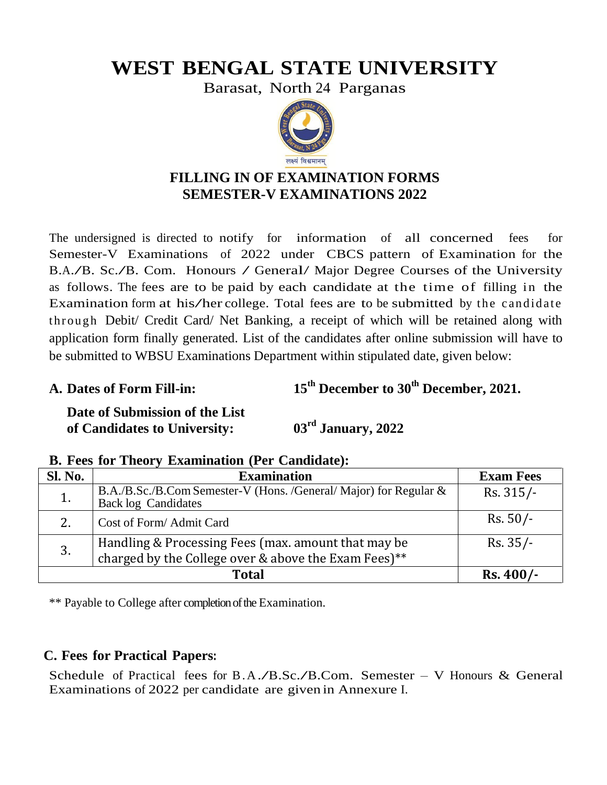# **WEST BENGAL STATE UNIVERSITY**

Barasat, North 24 Parganas



## **FILLING IN OF EXAMINATION FORMS SEMESTER-V EXAMINATIONS 2022**

The undersigned is directed to notify for information of all concerned fees for Semester-V Examinations of 2022 under CBCS pattern of Examination for the B.A./B. Sc./B. Com. Honours / General/ Major Degree Courses of the University as follows. The fees are to be paid by each candidate at the time of filling in the Examination form at his/her college. Total fees are to be submitted by the candidate t hr ough Debit/ Credit Card/ Net Banking, a receipt of which will be retained along with application form finally generated. List of the candidates after online submission will have to be submitted to WBSU Examinations Department within stipulated date, given below:

**A. Dates of Form Fill-in: 15th December to 30th December, 2021.** 

**Date of Submission of the List of Candidates to University: 03rd January, 2022**

| Sl. No. | <b>Examination</b>                                                                                          | <b>Exam Fees</b> |  |  |
|---------|-------------------------------------------------------------------------------------------------------------|------------------|--|--|
|         | B.A./B.Sc./B.Com Semester-V (Hons. /General/ Major) for Regular &<br><b>Back log Candidates</b>             | $Rs. 315/-$      |  |  |
|         | Cost of Form/Admit Card                                                                                     | $Rs. 50/-$       |  |  |
| 3.      | Handling & Processing Fees (max. amount that may be<br>charged by the College over & above the Exam Fees)** | $Rs. 35/-$       |  |  |
|         | $Rs.400/-$                                                                                                  |                  |  |  |

#### **B. Fees for Theory Examination (Per Candidate):**

\*\* Payable to College after completion of the Examination.

### **C. Fees for Practical Papers:**

Schedule of Practical fees for B.A./B.Sc./B.Com. Semester – V Honours  $&$  General Examinations of 2022 per candidate are given in Annexure I.